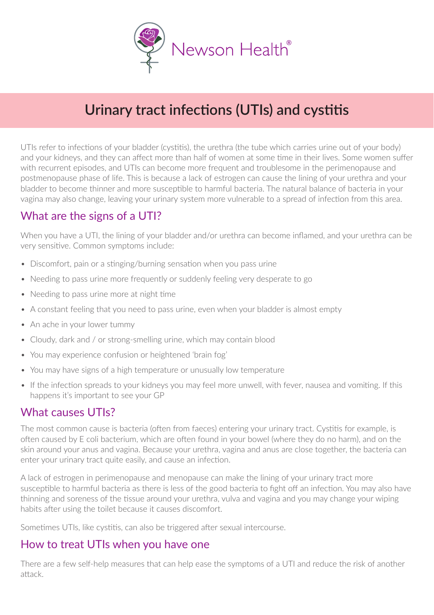

# **Urinary tract infections (UTIs) and cystitis**

UTIs refer to infections of your bladder (cystitis), the urethra (the tube which carries urine out of your body) and your kidneys, and they can affect more than half of women at some time in their lives. Some women suffer with recurrent episodes, and UTIs can become more frequent and troublesome in the perimenopause and postmenopause phase of life. This is because a lack of estrogen can cause the lining of your urethra and your bladder to become thinner and more susceptible to harmful bacteria. The natural balance of bacteria in your vagina may also change, leaving your urinary system more vulnerable to a spread of infection from this area.

# What are the signs of a UTI?

When you have a UTI, the lining of your bladder and/or urethra can become inflamed, and your urethra can be very sensitive. Common symptoms include:

- Discomfort, pain or a stinging/burning sensation when you pass urine
- Needing to pass urine more frequently or suddenly feeling very desperate to go
- Needing to pass urine more at night time
- A constant feeling that you need to pass urine, even when your bladder is almost empty
- An ache in your lower tummy
- Cloudy, dark and / or strong-smelling urine, which may contain blood
- You may experience confusion or heightened 'brain fog'
- You may have signs of a high temperature or unusually low temperature
- If the infection spreads to your kidneys you may feel more unwell, with fever, nausea and vomiting. If this happens it's important to see your GP

#### What causes UTIs?

The most common cause is bacteria (often from faeces) entering your urinary tract. Cystitis for example, is often caused by E coli bacterium, which are often found in your bowel (where they do no harm), and on the skin around your anus and vagina. Because your urethra, vagina and anus are close together, the bacteria can enter your urinary tract quite easily, and cause an infection.

A lack of estrogen in perimenopause and menopause can make the lining of your urinary tract more susceptible to harmful bacteria as there is less of the good bacteria to fight off an infection. You may also have thinning and soreness of the tissue around your urethra, vulva and vagina and you may change your wiping habits after using the toilet because it causes discomfort.

Sometimes UTIs, like cystitis, can also be triggered after sexual intercourse.

### How to treat UTIs when you have one

There are a few self-help measures that can help ease the symptoms of a UTI and reduce the risk of another attack.